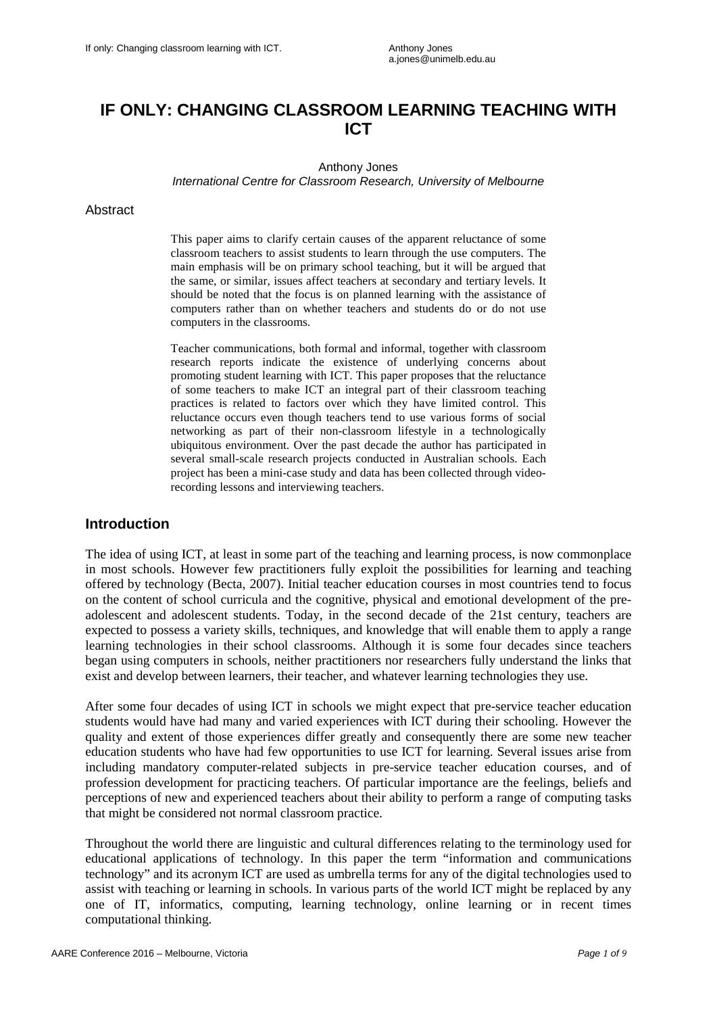# **IF ONLY: CHANGING CLASSROOM LEARNING TEACHING WITH ICT**

Anthony Jones

*International Centre for Classroom Research, University of Melbourne*

#### **Abstract**

This paper aims to clarify certain causes of the apparent reluctance of some classroom teachers to assist students to learn through the use computers. The main emphasis will be on primary school teaching, but it will be argued that the same, or similar, issues affect teachers at secondary and tertiary levels. It should be noted that the focus is on planned learning with the assistance of computers rather than on whether teachers and students do or do not use computers in the classrooms.

Teacher communications, both formal and informal, together with classroom research reports indicate the existence of underlying concerns about promoting student learning with ICT. This paper proposes that the reluctance of some teachers to make ICT an integral part of their classroom teaching practices is related to factors over which they have limited control. This reluctance occurs even though teachers tend to use various forms of social networking as part of their non-classroom lifestyle in a technologically ubiquitous environment. Over the past decade the author has participated in several small-scale research projects conducted in Australian schools. Each project has been a mini-case study and data has been collected through videorecording lessons and interviewing teachers.

# **Introduction**

The idea of using ICT, at least in some part of the teaching and learning process, is now commonplace in most schools. However few practitioners fully exploit the possibilities for learning and teaching offered by technology (Becta, 2007). Initial teacher education courses in most countries tend to focus on the content of school curricula and the cognitive, physical and emotional development of the preadolescent and adolescent students. Today, in the second decade of the 21st century, teachers are expected to possess a variety skills, techniques, and knowledge that will enable them to apply a range learning technologies in their school classrooms. Although it is some four decades since teachers began using computers in schools, neither practitioners nor researchers fully understand the links that exist and develop between learners, their teacher, and whatever learning technologies they use.

After some four decades of using ICT in schools we might expect that pre-service teacher education students would have had many and varied experiences with ICT during their schooling. However the quality and extent of those experiences differ greatly and consequently there are some new teacher education students who have had few opportunities to use ICT for learning. Several issues arise from including mandatory computer-related subjects in pre-service teacher education courses, and of profession development for practicing teachers. Of particular importance are the feelings, beliefs and perceptions of new and experienced teachers about their ability to perform a range of computing tasks that might be considered not normal classroom practice.

Throughout the world there are linguistic and cultural differences relating to the terminology used for educational applications of technology. In this paper the term "information and communications technology" and its acronym ICT are used as umbrella terms for any of the digital technologies used to assist with teaching or learning in schools. In various parts of the world ICT might be replaced by any one of IT, informatics, computing, learning technology, online learning or in recent times computational thinking.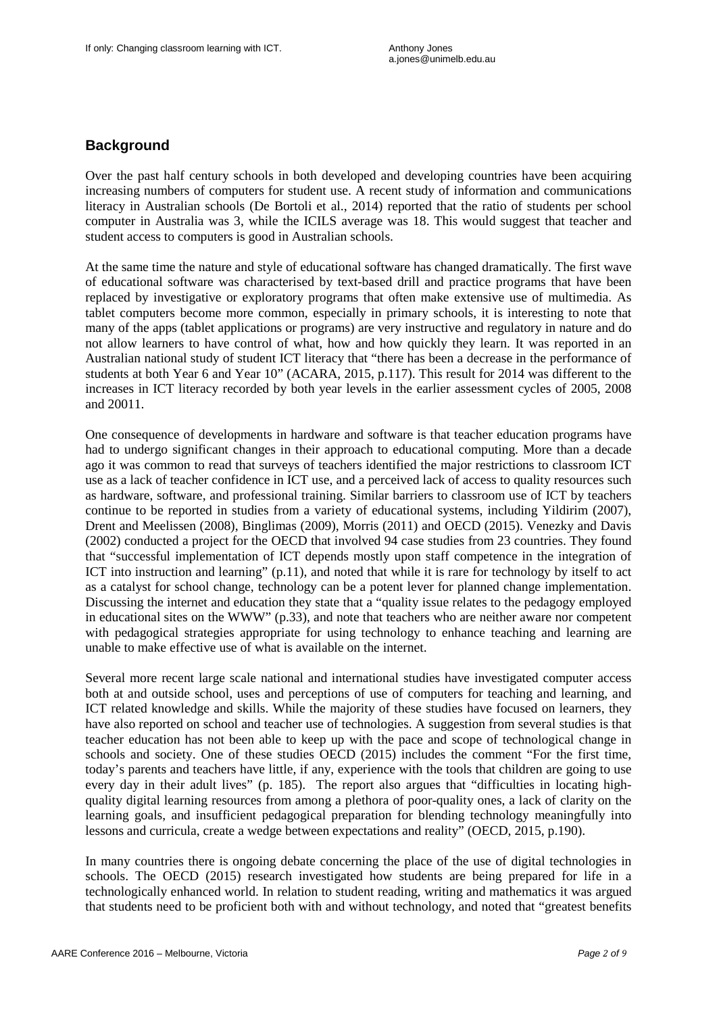# **Background**

Over the past half century schools in both developed and developing countries have been acquiring increasing numbers of computers for student use. A recent study of information and communications literacy in Australian schools (De Bortoli et al., 2014) reported that the ratio of students per school computer in Australia was 3, while the ICILS average was 18. This would suggest that teacher and student access to computers is good in Australian schools.

At the same time the nature and style of educational software has changed dramatically. The first wave of educational software was characterised by text-based drill and practice programs that have been replaced by investigative or exploratory programs that often make extensive use of multimedia. As tablet computers become more common, especially in primary schools, it is interesting to note that many of the apps (tablet applications or programs) are very instructive and regulatory in nature and do not allow learners to have control of what, how and how quickly they learn. It was reported in an Australian national study of student ICT literacy that "there has been a decrease in the performance of students at both Year 6 and Year 10" (ACARA, 2015, p.117). This result for 2014 was different to the increases in ICT literacy recorded by both year levels in the earlier assessment cycles of 2005, 2008 and 20011.

One consequence of developments in hardware and software is that teacher education programs have had to undergo significant changes in their approach to educational computing. More than a decade ago it was common to read that surveys of teachers identified the major restrictions to classroom ICT use as a lack of teacher confidence in ICT use, and a perceived lack of access to quality resources such as hardware, software, and professional training. Similar barriers to classroom use of ICT by teachers continue to be reported in studies from a variety of educational systems, including Yildirim (2007), Drent and Meelissen (2008), Binglimas (2009), Morris (2011) and OECD (2015). Venezky and Davis (2002) conducted a project for the OECD that involved 94 case studies from 23 countries. They found that "successful implementation of ICT depends mostly upon staff competence in the integration of ICT into instruction and learning" (p.11), and noted that while it is rare for technology by itself to act as a catalyst for school change, technology can be a potent lever for planned change implementation. Discussing the internet and education they state that a "quality issue relates to the pedagogy employed in educational sites on the WWW" (p.33), and note that teachers who are neither aware nor competent with pedagogical strategies appropriate for using technology to enhance teaching and learning are unable to make effective use of what is available on the internet.

Several more recent large scale national and international studies have investigated computer access both at and outside school, uses and perceptions of use of computers for teaching and learning, and ICT related knowledge and skills. While the majority of these studies have focused on learners, they have also reported on school and teacher use of technologies. A suggestion from several studies is that teacher education has not been able to keep up with the pace and scope of technological change in schools and society. One of these studies OECD (2015) includes the comment "For the first time, today's parents and teachers have little, if any, experience with the tools that children are going to use every day in their adult lives" (p. 185). The report also argues that "difficulties in locating highquality digital learning resources from among a plethora of poor-quality ones, a lack of clarity on the learning goals, and insufficient pedagogical preparation for blending technology meaningfully into lessons and curricula, create a wedge between expectations and reality" (OECD, 2015, p.190).

In many countries there is ongoing debate concerning the place of the use of digital technologies in schools. The OECD (2015) research investigated how students are being prepared for life in a technologically enhanced world. In relation to student reading, writing and mathematics it was argued that students need to be proficient both with and without technology, and noted that "greatest benefits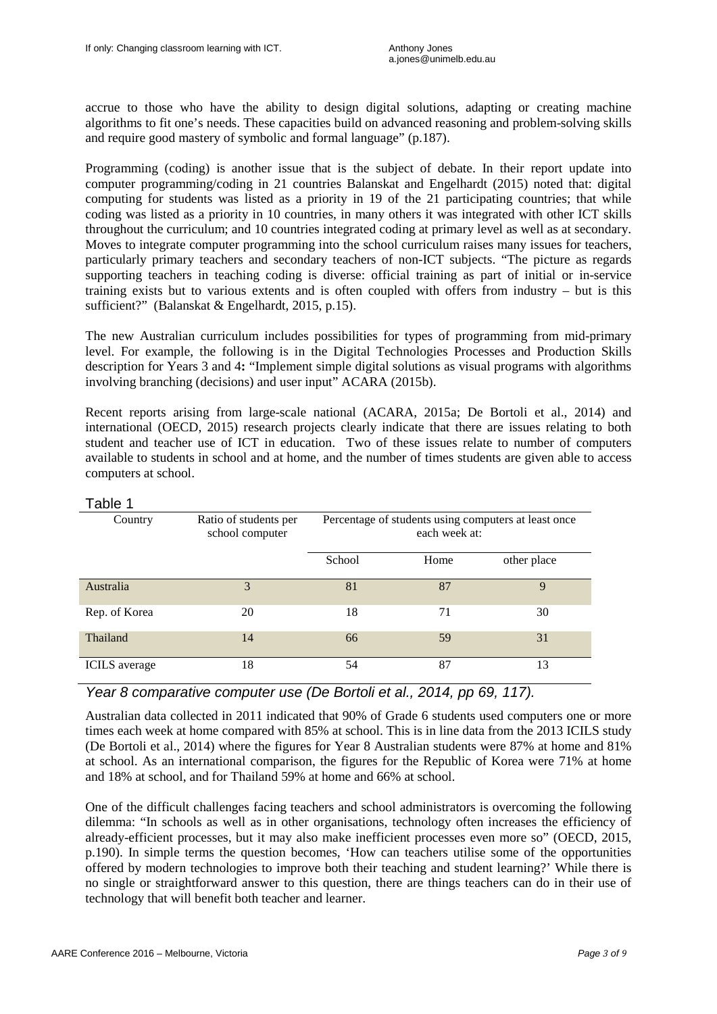accrue to those who have the ability to design digital solutions, adapting or creating machine algorithms to fit one's needs. These capacities build on advanced reasoning and problem-solving skills and require good mastery of symbolic and formal language" (p.187).

Programming (coding) is another issue that is the subject of debate. In their report update into computer programming/coding in 21 countries Balanskat and Engelhardt (2015) noted that: digital computing for students was listed as a priority in 19 of the 21 participating countries; that while coding was listed as a priority in 10 countries, in many others it was integrated with other ICT skills throughout the curriculum; and 10 countries integrated coding at primary level as well as at secondary. Moves to integrate computer programming into the school curriculum raises many issues for teachers, particularly primary teachers and secondary teachers of non-ICT subjects. "The picture as regards supporting teachers in teaching coding is diverse: official training as part of initial or in-service training exists but to various extents and is often coupled with offers from industry – but is this sufficient?" (Balanskat & Engelhardt, 2015, p.15).

The new Australian curriculum includes possibilities for types of programming from mid-primary level. For example, the following is in the Digital Technologies Processes and Production Skills description for Years 3 and 4**:** "Implement simple digital solutions as visual programs with algorithms involving branching (decisions) and user input" ACARA (2015b).

Recent reports arising from large-scale national (ACARA, 2015a; De Bortoli et al., 2014) and international (OECD, 2015) research projects clearly indicate that there are issues relating to both student and teacher use of ICT in education. Two of these issues relate to number of computers available to students in school and at home, and the number of times students are given able to access computers at school.

| avie i               |                                          |                                                                       |      |             |
|----------------------|------------------------------------------|-----------------------------------------------------------------------|------|-------------|
| Country              | Ratio of students per<br>school computer | Percentage of students using computers at least once<br>each week at: |      |             |
|                      |                                          | School                                                                | Home | other place |
| Australia            | 3                                        | 81                                                                    | 87   | 9           |
| Rep. of Korea        | 20                                       | 18                                                                    | 71   | 30          |
| Thailand             | 14                                       | 66                                                                    | 59   | 31          |
| <b>ICILS</b> average | 18                                       | 54                                                                    | 87   | 13          |

### Table 1

# *Year 8 comparative computer use (De Bortoli et al., 2014, pp 69, 117).*

Australian data collected in 2011 indicated that 90% of Grade 6 students used computers one or more times each week at home compared with 85% at school. This is in line data from the 2013 ICILS study (De Bortoli et al., 2014) where the figures for Year 8 Australian students were 87% at home and 81% at school. As an international comparison, the figures for the Republic of Korea were 71% at home and 18% at school, and for Thailand 59% at home and 66% at school.

One of the difficult challenges facing teachers and school administrators is overcoming the following dilemma: "In schools as well as in other organisations, technology often increases the efficiency of already-efficient processes, but it may also make inefficient processes even more so" (OECD, 2015, p.190). In simple terms the question becomes, 'How can teachers utilise some of the opportunities offered by modern technologies to improve both their teaching and student learning?' While there is no single or straightforward answer to this question, there are things teachers can do in their use of technology that will benefit both teacher and learner.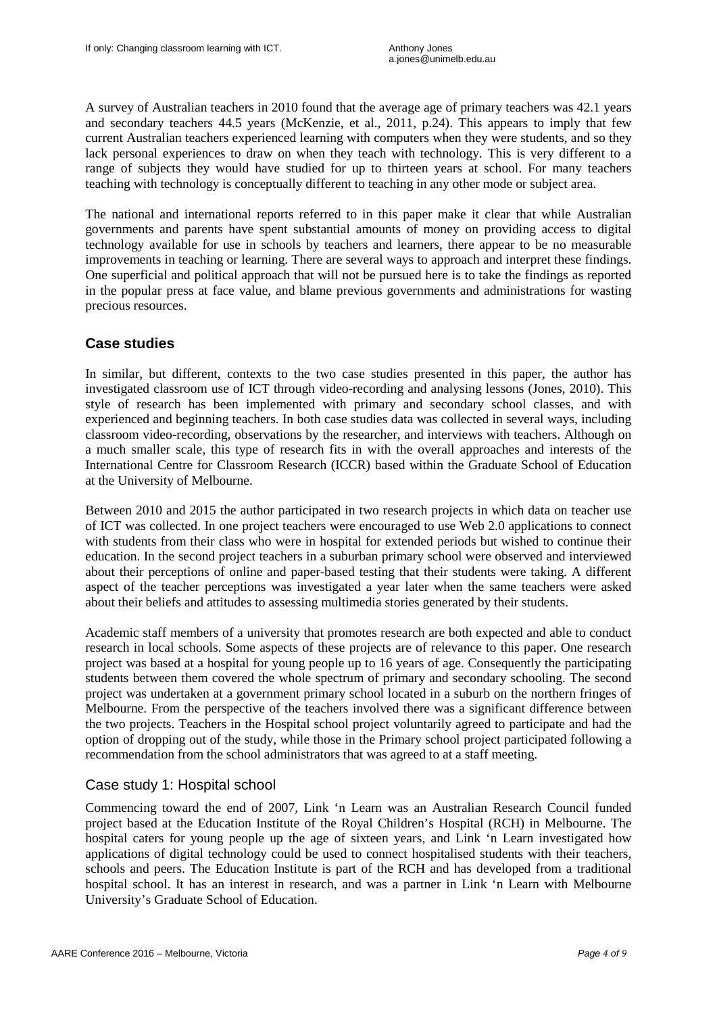A survey of Australian teachers in 2010 found that the average age of primary teachers was 42.1 years and secondary teachers 44.5 years (McKenzie, et al., 2011, p.24). This appears to imply that few current Australian teachers experienced learning with computers when they were students, and so they lack personal experiences to draw on when they teach with technology. This is very different to a range of subjects they would have studied for up to thirteen years at school. For many teachers teaching with technology is conceptually different to teaching in any other mode or subject area.

The national and international reports referred to in this paper make it clear that while Australian governments and parents have spent substantial amounts of money on providing access to digital technology available for use in schools by teachers and learners, there appear to be no measurable improvements in teaching or learning. There are several ways to approach and interpret these findings. One superficial and political approach that will not be pursued here is to take the findings as reported in the popular press at face value, and blame previous governments and administrations for wasting precious resources.

# **Case studies**

In similar, but different, contexts to the two case studies presented in this paper, the author has investigated classroom use of ICT through video-recording and analysing lessons (Jones, 2010). This style of research has been implemented with primary and secondary school classes, and with experienced and beginning teachers. In both case studies data was collected in several ways, including classroom video-recording, observations by the researcher, and interviews with teachers. Although on a much smaller scale, this type of research fits in with the overall approaches and interests of the International Centre for Classroom Research (ICCR) based within the Graduate School of Education at the University of Melbourne.

Between 2010 and 2015 the author participated in two research projects in which data on teacher use of ICT was collected. In one project teachers were encouraged to use Web 2.0 applications to connect with students from their class who were in hospital for extended periods but wished to continue their education. In the second project teachers in a suburban primary school were observed and interviewed about their perceptions of online and paper-based testing that their students were taking. A different aspect of the teacher perceptions was investigated a year later when the same teachers were asked about their beliefs and attitudes to assessing multimedia stories generated by their students.

Academic staff members of a university that promotes research are both expected and able to conduct research in local schools. Some aspects of these projects are of relevance to this paper. One research project was based at a hospital for young people up to 16 years of age. Consequently the participating students between them covered the whole spectrum of primary and secondary schooling. The second project was undertaken at a government primary school located in a suburb on the northern fringes of Melbourne. From the perspective of the teachers involved there was a significant difference between the two projects. Teachers in the Hospital school project voluntarily agreed to participate and had the option of dropping out of the study, while those in the Primary school project participated following a recommendation from the school administrators that was agreed to at a staff meeting.

# Case study 1: Hospital school

Commencing toward the end of 2007, Link 'n Learn was an Australian Research Council funded project based at the Education Institute of the Royal Children's Hospital (RCH) in Melbourne. The hospital caters for young people up the age of sixteen years, and Link 'n Learn investigated how applications of digital technology could be used to connect hospitalised students with their teachers, schools and peers. The Education Institute is part of the RCH and has developed from a traditional hospital school. It has an interest in research, and was a partner in Link 'n Learn with Melbourne University's Graduate School of Education.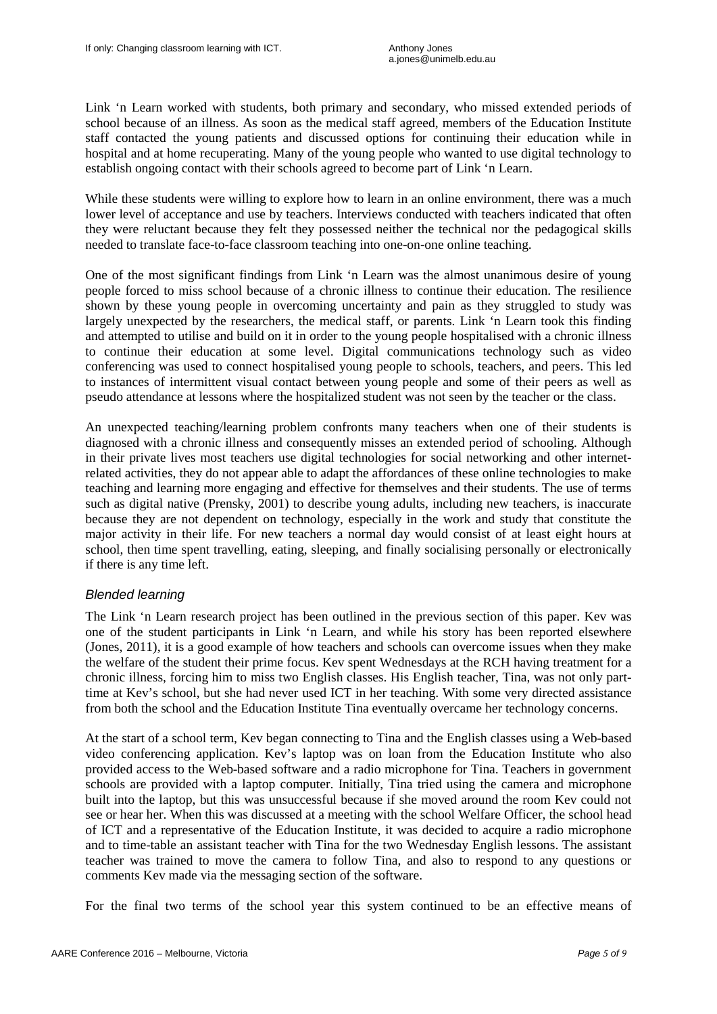Link 'n Learn worked with students, both primary and secondary, who missed extended periods of school because of an illness. As soon as the medical staff agreed, members of the Education Institute staff contacted the young patients and discussed options for continuing their education while in hospital and at home recuperating. Many of the young people who wanted to use digital technology to establish ongoing contact with their schools agreed to become part of Link 'n Learn.

While these students were willing to explore how to learn in an online environment, there was a much lower level of acceptance and use by teachers. Interviews conducted with teachers indicated that often they were reluctant because they felt they possessed neither the technical nor the pedagogical skills needed to translate face-to-face classroom teaching into one-on-one online teaching.

One of the most significant findings from Link 'n Learn was the almost unanimous desire of young people forced to miss school because of a chronic illness to continue their education. The resilience shown by these young people in overcoming uncertainty and pain as they struggled to study was largely unexpected by the researchers, the medical staff, or parents. Link 'n Learn took this finding and attempted to utilise and build on it in order to the young people hospitalised with a chronic illness to continue their education at some level. Digital communications technology such as video conferencing was used to connect hospitalised young people to schools, teachers, and peers. This led to instances of intermittent visual contact between young people and some of their peers as well as pseudo attendance at lessons where the hospitalized student was not seen by the teacher or the class.

An unexpected teaching/learning problem confronts many teachers when one of their students is diagnosed with a chronic illness and consequently misses an extended period of schooling. Although in their private lives most teachers use digital technologies for social networking and other internetrelated activities, they do not appear able to adapt the affordances of these online technologies to make teaching and learning more engaging and effective for themselves and their students. The use of terms such as digital native (Prensky, 2001) to describe young adults, including new teachers, is inaccurate because they are not dependent on technology, especially in the work and study that constitute the major activity in their life. For new teachers a normal day would consist of at least eight hours at school, then time spent travelling, eating, sleeping, and finally socialising personally or electronically if there is any time left.

# *Blended learning*

The Link 'n Learn research project has been outlined in the previous section of this paper. Kev was one of the student participants in Link 'n Learn, and while his story has been reported elsewhere (Jones, 2011), it is a good example of how teachers and schools can overcome issues when they make the welfare of the student their prime focus. Kev spent Wednesdays at the RCH having treatment for a chronic illness, forcing him to miss two English classes. His English teacher, Tina, was not only parttime at Kev's school, but she had never used ICT in her teaching. With some very directed assistance from both the school and the Education Institute Tina eventually overcame her technology concerns.

At the start of a school term, Kev began connecting to Tina and the English classes using a Web-based video conferencing application. Kev's laptop was on loan from the Education Institute who also provided access to the Web-based software and a radio microphone for Tina. Teachers in government schools are provided with a laptop computer. Initially, Tina tried using the camera and microphone built into the laptop, but this was unsuccessful because if she moved around the room Kev could not see or hear her. When this was discussed at a meeting with the school Welfare Officer, the school head of ICT and a representative of the Education Institute, it was decided to acquire a radio microphone and to time-table an assistant teacher with Tina for the two Wednesday English lessons. The assistant teacher was trained to move the camera to follow Tina, and also to respond to any questions or comments Kev made via the messaging section of the software.

For the final two terms of the school year this system continued to be an effective means of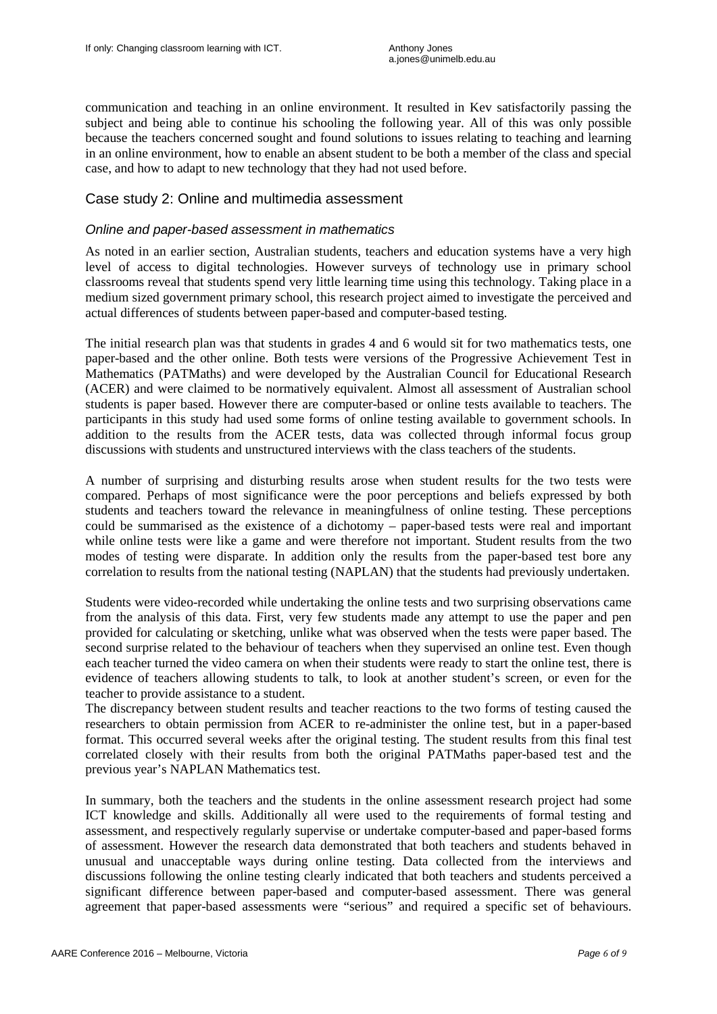communication and teaching in an online environment. It resulted in Kev satisfactorily passing the subject and being able to continue his schooling the following year. All of this was only possible because the teachers concerned sought and found solutions to issues relating to teaching and learning in an online environment, how to enable an absent student to be both a member of the class and special case, and how to adapt to new technology that they had not used before.

# Case study 2: Online and multimedia assessment

#### *Online and paper-based assessment in mathematics*

As noted in an earlier section, Australian students, teachers and education systems have a very high level of access to digital technologies. However surveys of technology use in primary school classrooms reveal that students spend very little learning time using this technology. Taking place in a medium sized government primary school, this research project aimed to investigate the perceived and actual differences of students between paper-based and computer-based testing.

The initial research plan was that students in grades 4 and 6 would sit for two mathematics tests, one paper-based and the other online. Both tests were versions of the Progressive Achievement Test in Mathematics (PATMaths) and were developed by the Australian Council for Educational Research (ACER) and were claimed to be normatively equivalent. Almost all assessment of Australian school students is paper based. However there are computer-based or online tests available to teachers. The participants in this study had used some forms of online testing available to government schools. In addition to the results from the ACER tests, data was collected through informal focus group discussions with students and unstructured interviews with the class teachers of the students.

A number of surprising and disturbing results arose when student results for the two tests were compared. Perhaps of most significance were the poor perceptions and beliefs expressed by both students and teachers toward the relevance in meaningfulness of online testing. These perceptions could be summarised as the existence of a dichotomy – paper-based tests were real and important while online tests were like a game and were therefore not important. Student results from the two modes of testing were disparate. In addition only the results from the paper-based test bore any correlation to results from the national testing (NAPLAN) that the students had previously undertaken.

Students were video-recorded while undertaking the online tests and two surprising observations came from the analysis of this data. First, very few students made any attempt to use the paper and pen provided for calculating or sketching, unlike what was observed when the tests were paper based. The second surprise related to the behaviour of teachers when they supervised an online test. Even though each teacher turned the video camera on when their students were ready to start the online test, there is evidence of teachers allowing students to talk, to look at another student's screen, or even for the teacher to provide assistance to a student.

The discrepancy between student results and teacher reactions to the two forms of testing caused the researchers to obtain permission from ACER to re-administer the online test, but in a paper-based format. This occurred several weeks after the original testing. The student results from this final test correlated closely with their results from both the original PATMaths paper-based test and the previous year's NAPLAN Mathematics test.

In summary, both the teachers and the students in the online assessment research project had some ICT knowledge and skills. Additionally all were used to the requirements of formal testing and assessment, and respectively regularly supervise or undertake computer-based and paper-based forms of assessment. However the research data demonstrated that both teachers and students behaved in unusual and unacceptable ways during online testing. Data collected from the interviews and discussions following the online testing clearly indicated that both teachers and students perceived a significant difference between paper-based and computer-based assessment. There was general agreement that paper-based assessments were "serious" and required a specific set of behaviours.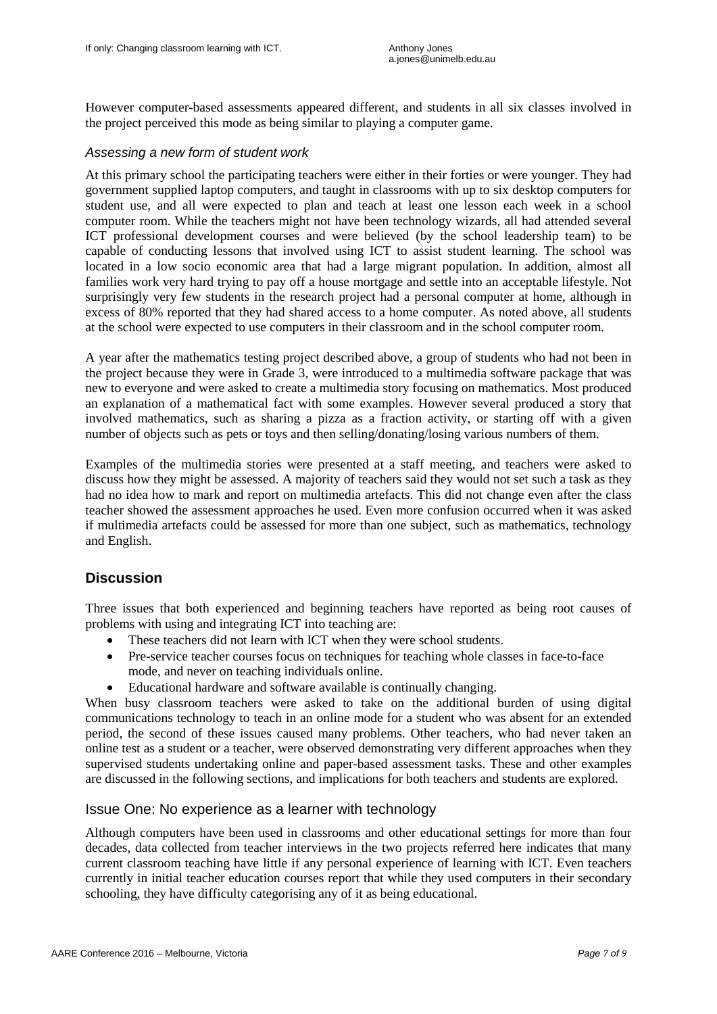However computer-based assessments appeared different, and students in all six classes involved in the project perceived this mode as being similar to playing a computer game.

#### *Assessing a new form of student work*

At this primary school the participating teachers were either in their forties or were younger. They had government supplied laptop computers, and taught in classrooms with up to six desktop computers for student use, and all were expected to plan and teach at least one lesson each week in a school computer room. While the teachers might not have been technology wizards, all had attended several ICT professional development courses and were believed (by the school leadership team) to be capable of conducting lessons that involved using ICT to assist student learning. The school was located in a low socio economic area that had a large migrant population. In addition, almost all families work very hard trying to pay off a house mortgage and settle into an acceptable lifestyle. Not surprisingly very few students in the research project had a personal computer at home, although in excess of 80% reported that they had shared access to a home computer. As noted above, all students at the school were expected to use computers in their classroom and in the school computer room.

A year after the mathematics testing project described above, a group of students who had not been in the project because they were in Grade 3, were introduced to a multimedia software package that was new to everyone and were asked to create a multimedia story focusing on mathematics. Most produced an explanation of a mathematical fact with some examples. However several produced a story that involved mathematics, such as sharing a pizza as a fraction activity, or starting off with a given number of objects such as pets or toys and then selling/donating/losing various numbers of them.

Examples of the multimedia stories were presented at a staff meeting, and teachers were asked to discuss how they might be assessed. A majority of teachers said they would not set such a task as they had no idea how to mark and report on multimedia artefacts. This did not change even after the class teacher showed the assessment approaches he used. Even more confusion occurred when it was asked if multimedia artefacts could be assessed for more than one subject, such as mathematics, technology and English.

# **Discussion**

Three issues that both experienced and beginning teachers have reported as being root causes of problems with using and integrating ICT into teaching are:

- These teachers did not learn with ICT when they were school students.
- Pre-service teacher courses focus on techniques for teaching whole classes in face-to-face mode, and never on teaching individuals online.
- Educational hardware and software available is continually changing.

When busy classroom teachers were asked to take on the additional burden of using digital communications technology to teach in an online mode for a student who was absent for an extended period, the second of these issues caused many problems. Other teachers, who had never taken an online test as a student or a teacher, were observed demonstrating very different approaches when they supervised students undertaking online and paper-based assessment tasks. These and other examples are discussed in the following sections, and implications for both teachers and students are explored.

#### Issue One: No experience as a learner with technology

Although computers have been used in classrooms and other educational settings for more than four decades, data collected from teacher interviews in the two projects referred here indicates that many current classroom teaching have little if any personal experience of learning with ICT. Even teachers currently in initial teacher education courses report that while they used computers in their secondary schooling, they have difficulty categorising any of it as being educational.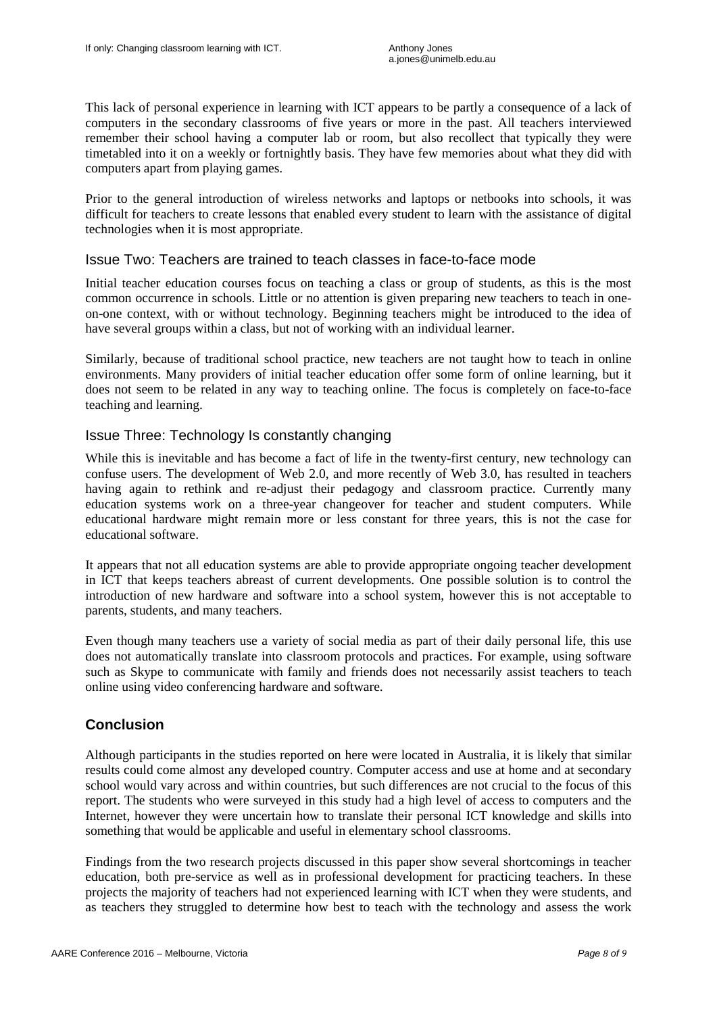This lack of personal experience in learning with ICT appears to be partly a consequence of a lack of computers in the secondary classrooms of five years or more in the past. All teachers interviewed remember their school having a computer lab or room, but also recollect that typically they were timetabled into it on a weekly or fortnightly basis. They have few memories about what they did with computers apart from playing games.

Prior to the general introduction of wireless networks and laptops or netbooks into schools, it was difficult for teachers to create lessons that enabled every student to learn with the assistance of digital technologies when it is most appropriate.

### Issue Two: Teachers are trained to teach classes in face-to-face mode

Initial teacher education courses focus on teaching a class or group of students, as this is the most common occurrence in schools. Little or no attention is given preparing new teachers to teach in oneon-one context, with or without technology. Beginning teachers might be introduced to the idea of have several groups within a class, but not of working with an individual learner.

Similarly, because of traditional school practice, new teachers are not taught how to teach in online environments. Many providers of initial teacher education offer some form of online learning, but it does not seem to be related in any way to teaching online. The focus is completely on face-to-face teaching and learning.

# Issue Three: Technology Is constantly changing

While this is inevitable and has become a fact of life in the twenty-first century, new technology can confuse users. The development of Web 2.0, and more recently of Web 3.0, has resulted in teachers having again to rethink and re-adjust their pedagogy and classroom practice. Currently many education systems work on a three-year changeover for teacher and student computers. While educational hardware might remain more or less constant for three years, this is not the case for educational software.

It appears that not all education systems are able to provide appropriate ongoing teacher development in ICT that keeps teachers abreast of current developments. One possible solution is to control the introduction of new hardware and software into a school system, however this is not acceptable to parents, students, and many teachers.

Even though many teachers use a variety of social media as part of their daily personal life, this use does not automatically translate into classroom protocols and practices. For example, using software such as Skype to communicate with family and friends does not necessarily assist teachers to teach online using video conferencing hardware and software.

# **Conclusion**

Although participants in the studies reported on here were located in Australia, it is likely that similar results could come almost any developed country. Computer access and use at home and at secondary school would vary across and within countries, but such differences are not crucial to the focus of this report. The students who were surveyed in this study had a high level of access to computers and the Internet, however they were uncertain how to translate their personal ICT knowledge and skills into something that would be applicable and useful in elementary school classrooms.

Findings from the two research projects discussed in this paper show several shortcomings in teacher education, both pre-service as well as in professional development for practicing teachers. In these projects the majority of teachers had not experienced learning with ICT when they were students, and as teachers they struggled to determine how best to teach with the technology and assess the work